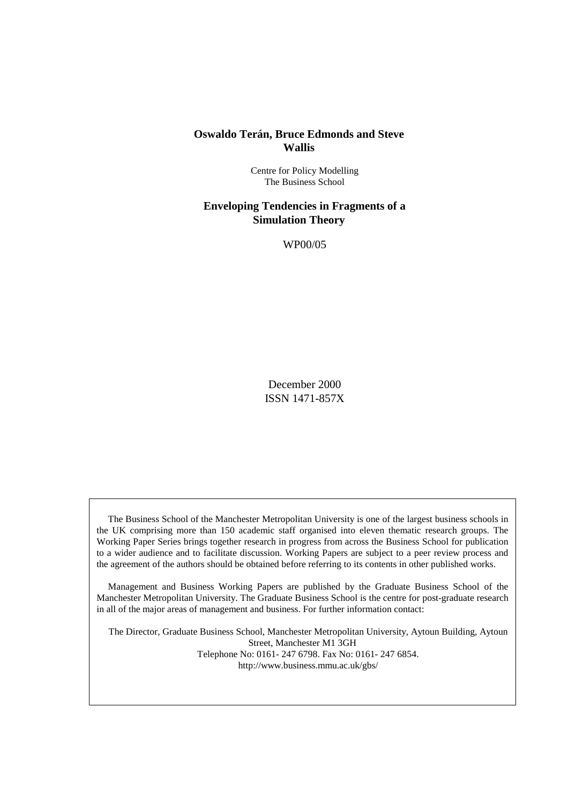## **Oswaldo Terán, Bruce Edmonds and Steve Wallis**

Centre for Policy Modelling The Business School

## **Enveloping Tendencies in Fragments of a Simulation Theory**

WP00/05

December 2000 ISSN 1471-857X

The Business School of the Manchester Metropolitan University is one of the largest business schools in the UK comprising more than 150 academic staff organised into eleven thematic research groups. The Working Paper Series brings together research in progress from across the Business School for publication to a wider audience and to facilitate discussion. Working Papers are subject to a peer review process and the agreement of the authors should be obtained before referring to its contents in other published works.

Management and Business Working Papers are published by the Graduate Business School of the Manchester Metropolitan University. The Graduate Business School is the centre for post-graduate research in all of the major areas of management and business. For further information contact:

The Director, Graduate Business School, Manchester Metropolitan University, Aytoun Building, Aytoun Street, Manchester M1 3GH Telephone No: 0161- 247 6798. Fax No: 0161- 247 6854. http://www.business.mmu.ac.uk/gbs/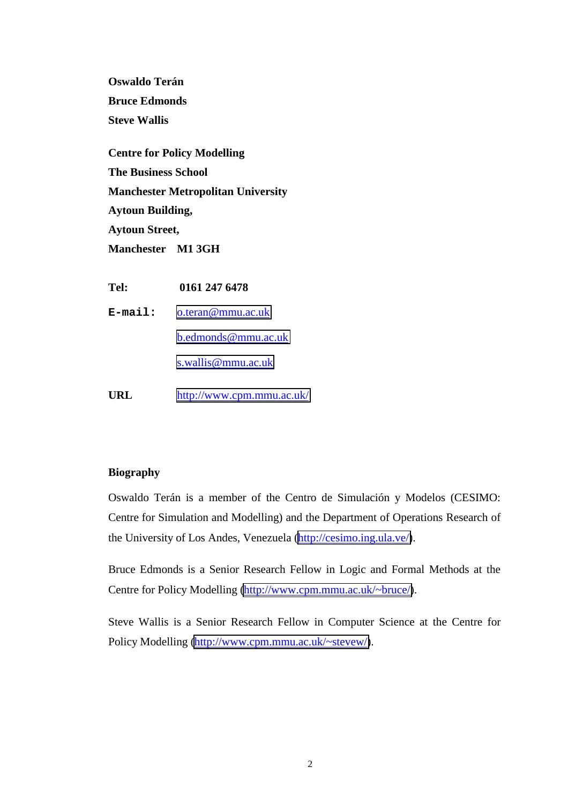**Oswaldo Terán Bruce Edmonds Steve Wallis**

**Centre for Policy Modelling The Business School Manchester Metropolitan University Aytoun Building, Aytoun Street, Manchester M1 3GH**

**Tel: 0161 247 6478 E-mail:** [o.teran@mmu.ac.uk](mailto:o.teran@mmu.ac.uk) [b.edmonds@mmu.ac.uk](mailto:b.edmonds@mmu.ac.uk) [s.wallis@mmu.ac.uk](mailto:s.wallis}@mmu.ac.uk) **URL** <http://www.cpm.mmu.ac.uk/>

## **Biography**

Oswaldo Terán is a member of the Centro de Simulación y Modelos (CESIMO: Centre for Simulation and Modelling) and the Department of Operations Research of the University of Los Andes, Venezuela [\(http://cesimo.ing.ula.ve/\)](http://cesimo.ing.ula.ve/).

Bruce Edmonds is a Senior Research Fellow in Logic and Formal Methods at the Centre for Policy Modelling [\(http://www.cpm.mmu.ac.uk/~bruce/\)](http://www.cpm.mmu.ac.uk/~bruce/).

Steve Wallis is a Senior Research Fellow in Computer Science at the Centre for Policy Modelling [\(http://www.cpm.mmu.ac.uk/~stevew/\)](http://www.cpm.mmu.ac.uk/~stevew/).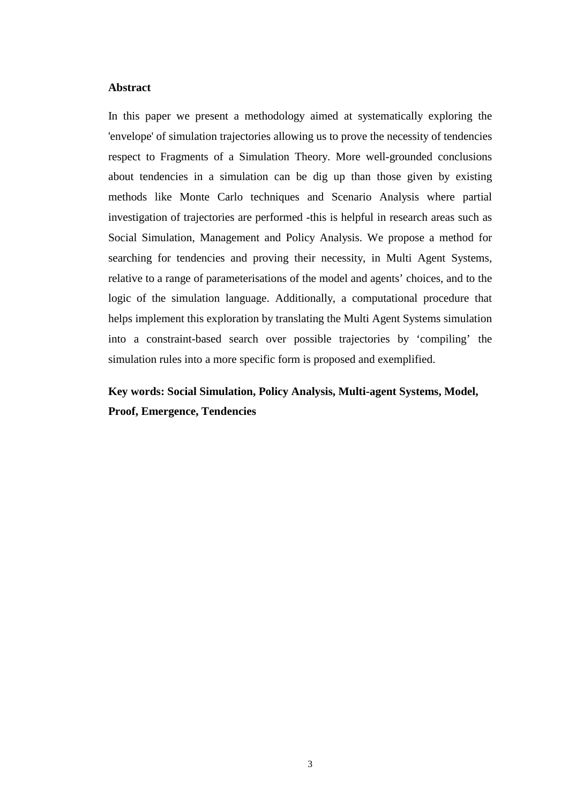## **Abstract**

In this paper we present a methodology aimed at systematically exploring the 'envelope' of simulation trajectories allowing us to prove the necessity of tendencies respect to Fragments of a Simulation Theory. More well-grounded conclusions about tendencies in a simulation can be dig up than those given by existing methods like Monte Carlo techniques and Scenario Analysis where partial investigation of trajectories are performed -this is helpful in research areas such as Social Simulation, Management and Policy Analysis. We propose a method for searching for tendencies and proving their necessity, in Multi Agent Systems, relative to a range of parameterisations of the model and agents' choices, and to the logic of the simulation language. Additionally, a computational procedure that helps implement this exploration by translating the Multi Agent Systems simulation into a constraint-based search over possible trajectories by 'compiling' the simulation rules into a more specific form is proposed and exemplified.

# **Key words: Social Simulation, Policy Analysis, Multi-agent Systems, Model, Proof, Emergence, Tendencies**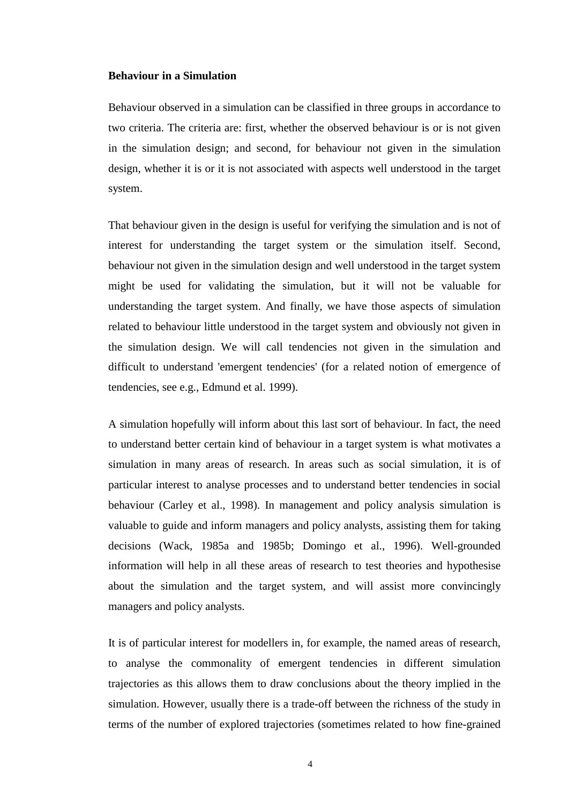#### **Behaviour in a Simulation**

Behaviour observed in a simulation can be classified in three groups in accordance to two criteria. The criteria are: first, whether the observed behaviour is or is not given in the simulation design; and second, for behaviour not given in the simulation design, whether it is or it is not associated with aspects well understood in the target system.

That behaviour given in the design is useful for verifying the simulation and is not of interest for understanding the target system or the simulation itself. Second, behaviour not given in the simulation design and well understood in the target system might be used for validating the simulation, but it will not be valuable for understanding the target system. And finally, we have those aspects of simulation related to behaviour little understood in the target system and obviously not given in the simulation design. We will call tendencies not given in the simulation and difficult to understand 'emergent tendencies' (for a related notion of emergence of tendencies, see e.g., Edmund et al. 1999).

A simulation hopefully will inform about this last sort of behaviour. In fact, the need to understand better certain kind of behaviour in a target system is what motivates a simulation in many areas of research. In areas such as social simulation, it is of particular interest to analyse processes and to understand better tendencies in social behaviour (Carley et al., 1998). In management and policy analysis simulation is valuable to guide and inform managers and policy analysts, assisting them for taking decisions (Wack, 1985a and 1985b; Domingo et al., 1996). Well-grounded information will help in all these areas of research to test theories and hypothesise about the simulation and the target system, and will assist more convincingly managers and policy analysts.

It is of particular interest for modellers in, for example, the named areas of research, to analyse the commonality of emergent tendencies in different simulation trajectories as this allows them to draw conclusions about the theory implied in the simulation. However, usually there is a trade-off between the richness of the study in terms of the number of explored trajectories (sometimes related to how fine-grained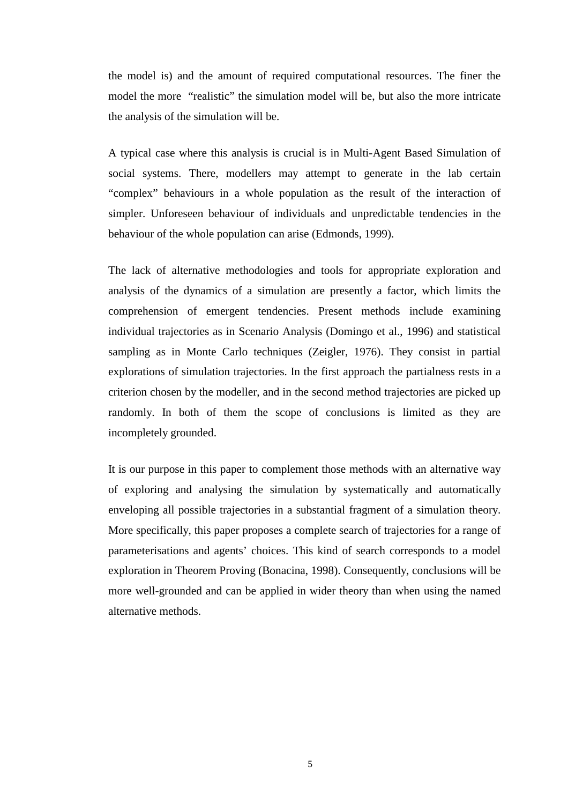the model is) and the amount of required computational resources. The finer the model the more "realistic" the simulation model will be, but also the more intricate the analysis of the simulation will be.

A typical case where this analysis is crucial is in Multi-Agent Based Simulation of social systems. There, modellers may attempt to generate in the lab certain "complex" behaviours in a whole population as the result of the interaction of simpler. Unforeseen behaviour of individuals and unpredictable tendencies in the behaviour of the whole population can arise (Edmonds, 1999).

The lack of alternative methodologies and tools for appropriate exploration and analysis of the dynamics of a simulation are presently a factor, which limits the comprehension of emergent tendencies. Present methods include examining individual trajectories as in Scenario Analysis (Domingo et al., 1996) and statistical sampling as in Monte Carlo techniques (Zeigler, 1976). They consist in partial explorations of simulation trajectories. In the first approach the partialness rests in a criterion chosen by the modeller, and in the second method trajectories are picked up randomly. In both of them the scope of conclusions is limited as they are incompletely grounded.

It is our purpose in this paper to complement those methods with an alternative way of exploring and analysing the simulation by systematically and automatically enveloping all possible trajectories in a substantial fragment of a simulation theory. More specifically, this paper proposes a complete search of trajectories for a range of parameterisations and agents' choices. This kind of search corresponds to a model exploration in Theorem Proving (Bonacina, 1998). Consequently, conclusions will be more well-grounded and can be applied in wider theory than when using the named alternative methods.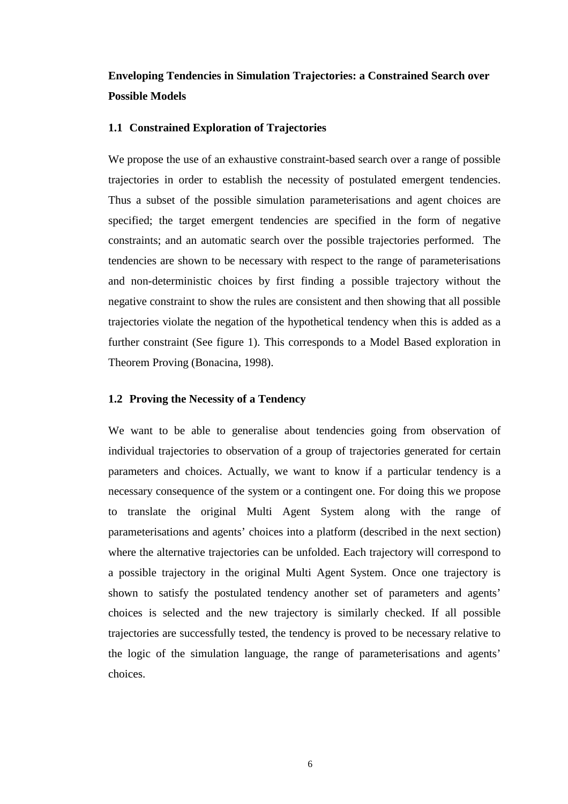# **Enveloping Tendencies in Simulation Trajectories: a Constrained Search over Possible Models**

#### **1.1 Constrained Exploration of Trajectories**

We propose the use of an exhaustive constraint-based search over a range of possible trajectories in order to establish the necessity of postulated emergent tendencies. Thus a subset of the possible simulation parameterisations and agent choices are specified; the target emergent tendencies are specified in the form of negative constraints; and an automatic search over the possible trajectories performed. The tendencies are shown to be necessary with respect to the range of parameterisations and non-deterministic choices by first finding a possible trajectory without the negative constraint to show the rules are consistent and then showing that all possible trajectories violate the negation of the hypothetical tendency when this is added as a further constraint (See figure 1). This corresponds to a Model Based exploration in Theorem Proving (Bonacina, 1998).

## **1.2 Proving the Necessity of a Tendency**

We want to be able to generalise about tendencies going from observation of individual trajectories to observation of a group of trajectories generated for certain parameters and choices. Actually, we want to know if a particular tendency is a necessary consequence of the system or a contingent one. For doing this we propose to translate the original Multi Agent System along with the range of parameterisations and agents' choices into a platform (described in the next section) where the alternative trajectories can be unfolded. Each trajectory will correspond to a possible trajectory in the original Multi Agent System. Once one trajectory is shown to satisfy the postulated tendency another set of parameters and agents' choices is selected and the new trajectory is similarly checked. If all possible trajectories are successfully tested, the tendency is proved to be necessary relative to the logic of the simulation language, the range of parameterisations and agents' choices.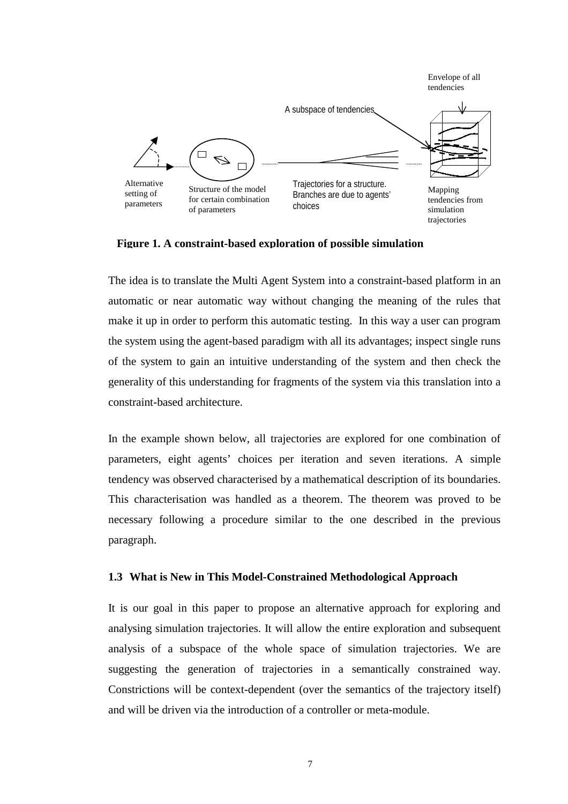

**Figure 1. A constraint-based exploration of possible simulation**

The idea is to translate the Multi Agent System into a constraint-based platform in an automatic or near automatic way without changing the meaning of the rules that make it up in order to perform this automatic testing. In this way a user can program the system using the agent-based paradigm with all its advantages; inspect single runs of the system to gain an intuitive understanding of the system and then check the generality of this understanding for fragments of the system via this translation into a constraint-based architecture.

In the example shown below, all trajectories are explored for one combination of parameters, eight agents' choices per iteration and seven iterations. A simple tendency was observed characterised by a mathematical description of its boundaries. This characterisation was handled as a theorem. The theorem was proved to be necessary following a procedure similar to the one described in the previous paragraph.

## **1.3 What is New in This Model-Constrained Methodological Approach**

It is our goal in this paper to propose an alternative approach for exploring and analysing simulation trajectories. It will allow the entire exploration and subsequent analysis of a subspace of the whole space of simulation trajectories. We are suggesting the generation of trajectories in a semantically constrained way. Constrictions will be context-dependent (over the semantics of the trajectory itself) and will be driven via the introduction of a controller or meta-module.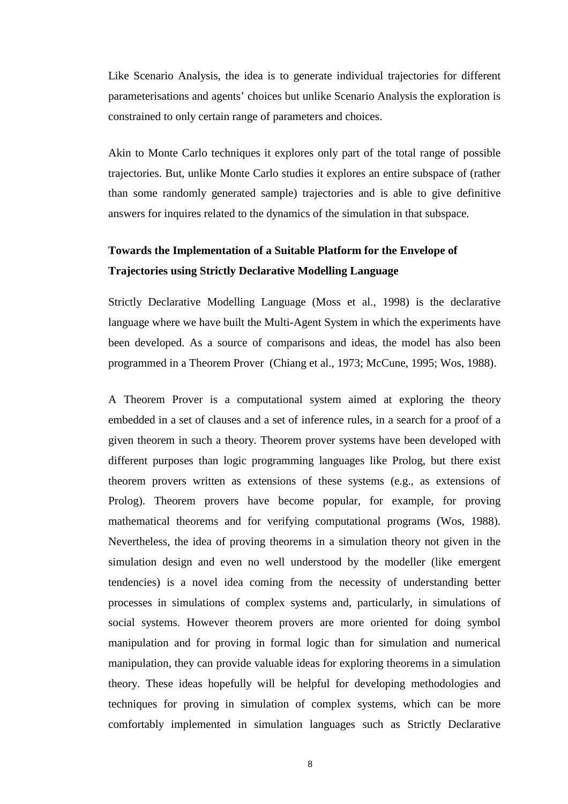Like Scenario Analysis, the idea is to generate individual trajectories for different parameterisations and agents' choices but unlike Scenario Analysis the exploration is constrained to only certain range of parameters and choices.

Akin to Monte Carlo techniques it explores only part of the total range of possible trajectories. But, unlike Monte Carlo studies it explores an entire subspace of (rather than some randomly generated sample) trajectories and is able to give definitive answers for inquires related to the dynamics of the simulation in that subspace.

## **Towards the Implementation of a Suitable Platform for the Envelope of Trajectories using Strictly Declarative Modelling Language**

Strictly Declarative Modelling Language (Moss et al., 1998) is the declarative language where we have built the Multi-Agent System in which the experiments have been developed. As a source of comparisons and ideas, the model has also been programmed in a Theorem Prover (Chiang et al., 1973; McCune, 1995; Wos, 1988).

A Theorem Prover is a computational system aimed at exploring the theory embedded in a set of clauses and a set of inference rules, in a search for a proof of a given theorem in such a theory. Theorem prover systems have been developed with different purposes than logic programming languages like Prolog, but there exist theorem provers written as extensions of these systems (e.g., as extensions of Prolog). Theorem provers have become popular, for example, for proving mathematical theorems and for verifying computational programs (Wos, 1988). Nevertheless, the idea of proving theorems in a simulation theory not given in the simulation design and even no well understood by the modeller (like emergent tendencies) is a novel idea coming from the necessity of understanding better processes in simulations of complex systems and, particularly, in simulations of social systems. However theorem provers are more oriented for doing symbol manipulation and for proving in formal logic than for simulation and numerical manipulation, they can provide valuable ideas for exploring theorems in a simulation theory. These ideas hopefully will be helpful for developing methodologies and techniques for proving in simulation of complex systems, which can be more comfortably implemented in simulation languages such as Strictly Declarative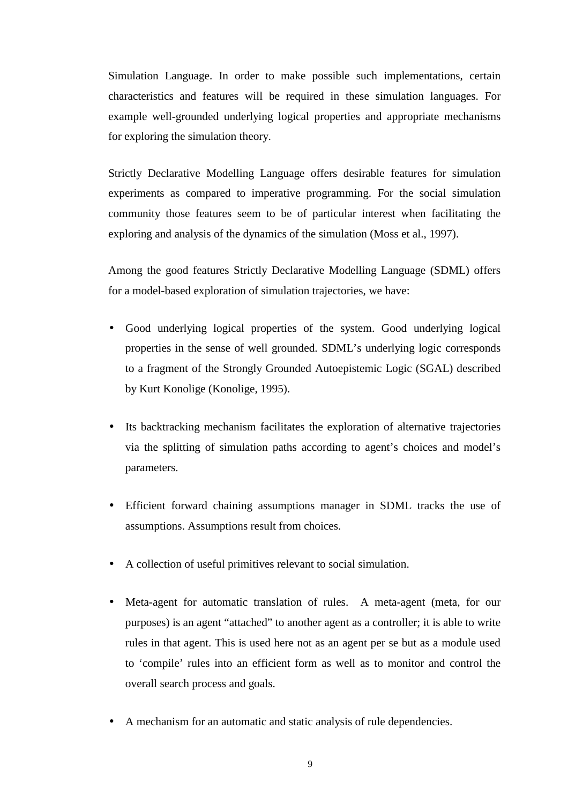Simulation Language. In order to make possible such implementations, certain characteristics and features will be required in these simulation languages. For example well-grounded underlying logical properties and appropriate mechanisms for exploring the simulation theory.

Strictly Declarative Modelling Language offers desirable features for simulation experiments as compared to imperative programming. For the social simulation community those features seem to be of particular interest when facilitating the exploring and analysis of the dynamics of the simulation (Moss et al., 1997).

Among the good features Strictly Declarative Modelling Language (SDML) offers for a model-based exploration of simulation trajectories, we have:

- Good underlying logical properties of the system. Good underlying logical properties in the sense of well grounded. SDML's underlying logic corresponds to a fragment of the Strongly Grounded Autoepistemic Logic (SGAL) described by Kurt Konolige (Konolige, 1995).
- Its backtracking mechanism facilitates the exploration of alternative trajectories via the splitting of simulation paths according to agent's choices and model's parameters.
- Efficient forward chaining assumptions manager in SDML tracks the use of assumptions. Assumptions result from choices.
- A collection of useful primitives relevant to social simulation.
- Meta-agent for automatic translation of rules. A meta-agent (meta, for our purposes) is an agent "attached" to another agent as a controller; it is able to write rules in that agent. This is used here not as an agent per se but as a module used to 'compile' rules into an efficient form as well as to monitor and control the overall search process and goals.
- A mechanism for an automatic and static analysis of rule dependencies.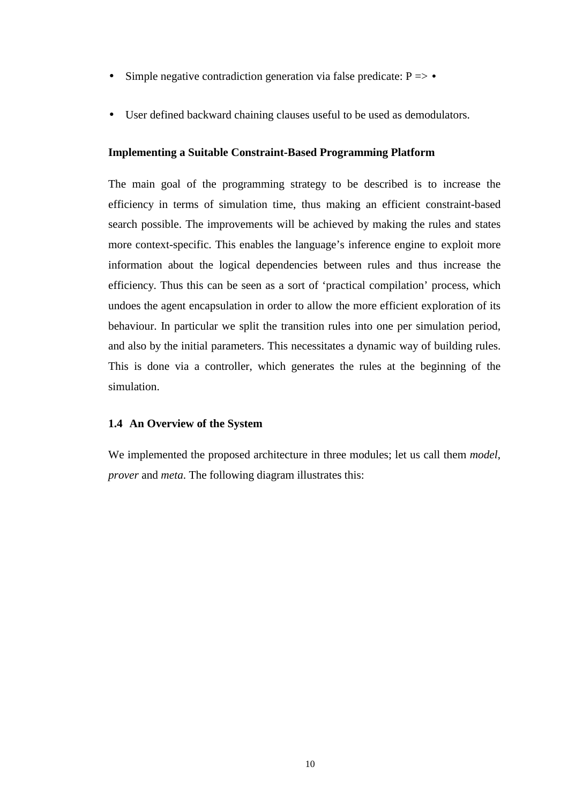- Simple negative contradiction generation via false predicate:  $P \Rightarrow$  •
- User defined backward chaining clauses useful to be used as demodulators.

## **Implementing a Suitable Constraint-Based Programming Platform**

The main goal of the programming strategy to be described is to increase the efficiency in terms of simulation time, thus making an efficient constraint-based search possible. The improvements will be achieved by making the rules and states more context-specific. This enables the language's inference engine to exploit more information about the logical dependencies between rules and thus increase the efficiency. Thus this can be seen as a sort of 'practical compilation' process, which undoes the agent encapsulation in order to allow the more efficient exploration of its behaviour. In particular we split the transition rules into one per simulation period, and also by the initial parameters. This necessitates a dynamic way of building rules. This is done via a controller, which generates the rules at the beginning of the simulation.

## **1.4 An Overview of the System**

We implemented the proposed architecture in three modules; let us call them *model*, *prover* and *meta*. The following diagram illustrates this: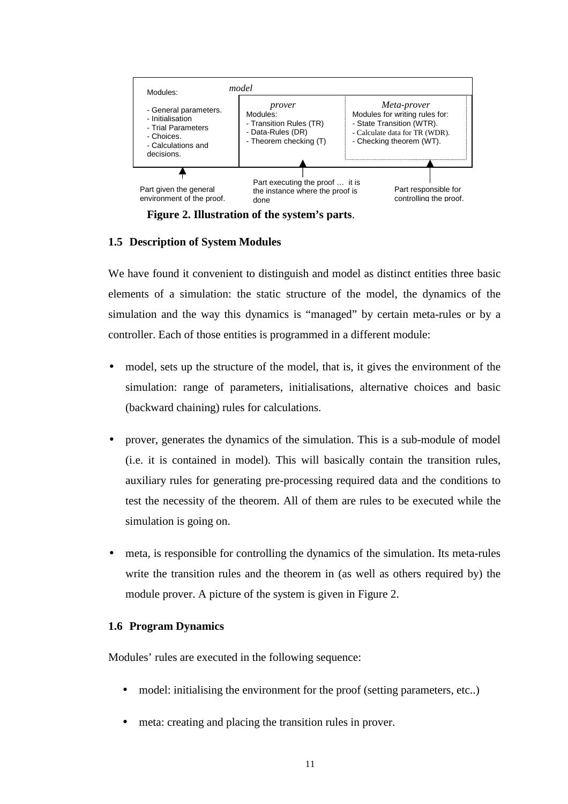

**Figure 2. Illustration of the system's parts**.

## **1.5 Description of System Modules**

We have found it convenient to distinguish and model as distinct entities three basic elements of a simulation: the static structure of the model, the dynamics of the simulation and the way this dynamics is "managed" by certain meta-rules or by a controller. Each of those entities is programmed in a different module:

- model, sets up the structure of the model, that is, it gives the environment of the simulation: range of parameters, initialisations, alternative choices and basic (backward chaining) rules for calculations.
- prover, generates the dynamics of the simulation. This is a sub-module of model (i.e. it is contained in model). This will basically contain the transition rules, auxiliary rules for generating pre-processing required data and the conditions to test the necessity of the theorem. All of them are rules to be executed while the simulation is going on.
- meta, is responsible for controlling the dynamics of the simulation. Its meta-rules write the transition rules and the theorem in (as well as others required by) the module prover. A picture of the system is given in Figure 2.

## **1.6 Program Dynamics**

Modules' rules are executed in the following sequence:

- model: initialising the environment for the proof (setting parameters, etc..)
- meta: creating and placing the transition rules in prover.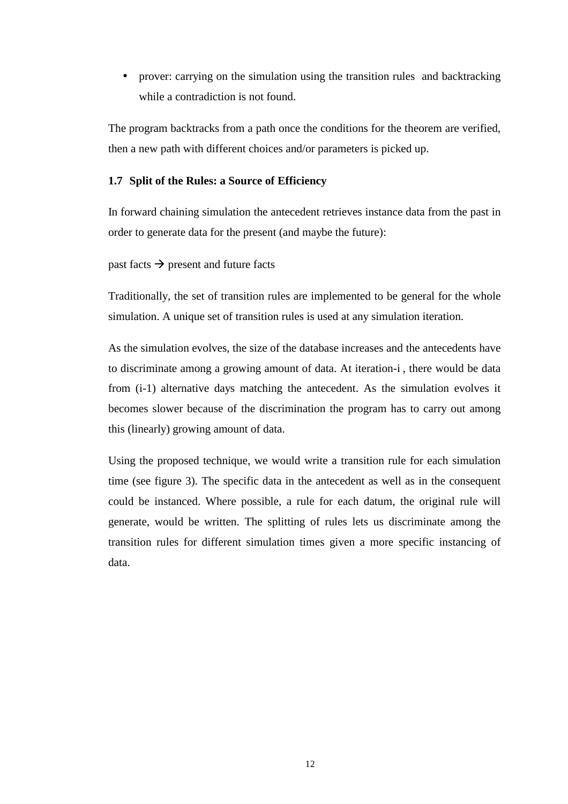• prover: carrying on the simulation using the transition rules and backtracking while a contradiction is not found.

The program backtracks from a path once the conditions for the theorem are verified, then a new path with different choices and/or parameters is picked up.

## **1.7 Split of the Rules: a Source of Efficiency**

In forward chaining simulation the antecedent retrieves instance data from the past in order to generate data for the present (and maybe the future):

past facts  $\rightarrow$  present and future facts

Traditionally, the set of transition rules are implemented to be general for the whole simulation. A unique set of transition rules is used at any simulation iteration.

As the simulation evolves, the size of the database increases and the antecedents have to discriminate among a growing amount of data. At iteration-i , there would be data from (i-1) alternative days matching the antecedent. As the simulation evolves it becomes slower because of the discrimination the program has to carry out among this (linearly) growing amount of data.

Using the proposed technique, we would write a transition rule for each simulation time (see figure 3). The specific data in the antecedent as well as in the consequent could be instanced. Where possible, a rule for each datum, the original rule will generate, would be written. The splitting of rules lets us discriminate among the transition rules for different simulation times given a more specific instancing of data.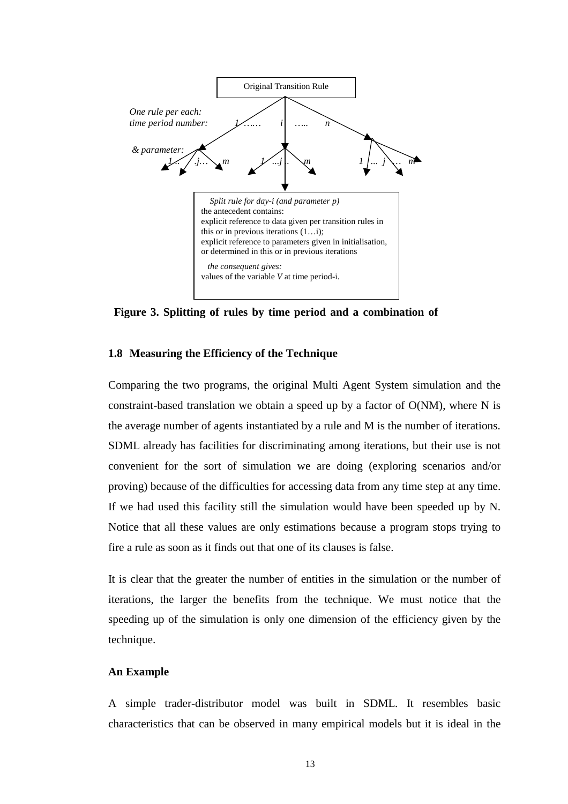

**Figure 3. Splitting of rules by time period and a combination of**

## **1.8 Measuring the Efficiency of the Technique**

Comparing the two programs, the original Multi Agent System simulation and the constraint-based translation we obtain a speed up by a factor of O(NM), where N is the average number of agents instantiated by a rule and M is the number of iterations. SDML already has facilities for discriminating among iterations, but their use is not convenient for the sort of simulation we are doing (exploring scenarios and/or proving) because of the difficulties for accessing data from any time step at any time. If we had used this facility still the simulation would have been speeded up by N. Notice that all these values are only estimations because a program stops trying to fire a rule as soon as it finds out that one of its clauses is false.

It is clear that the greater the number of entities in the simulation or the number of iterations, the larger the benefits from the technique. We must notice that the speeding up of the simulation is only one dimension of the efficiency given by the technique.

#### **An Example**

A simple trader-distributor model was built in SDML. It resembles basic characteristics that can be observed in many empirical models but it is ideal in the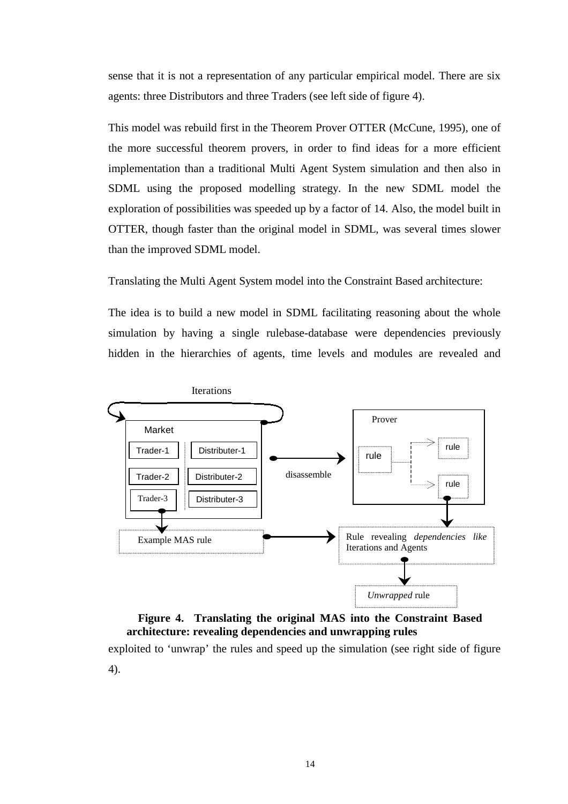sense that it is not a representation of any particular empirical model. There are six agents: three Distributors and three Traders (see left side of figure 4).

This model was rebuild first in the Theorem Prover OTTER (McCune, 1995), one of the more successful theorem provers, in order to find ideas for a more efficient implementation than a traditional Multi Agent System simulation and then also in SDML using the proposed modelling strategy. In the new SDML model the exploration of possibilities was speeded up by a factor of 14. Also, the model built in OTTER, though faster than the original model in SDML, was several times slower than the improved SDML model.

Translating the Multi Agent System model into the Constraint Based architecture:

The idea is to build a new model in SDML facilitating reasoning about the whole simulation by having a single rulebase-database were dependencies previously hidden in the hierarchies of agents, time levels and modules are revealed and



# exploited to 'unwrap' the rules and speed up the simulation (see right side of figure **Figure 4. Translating the original MAS into the Constraint Based architecture: revealing dependencies and unwrapping rules**

4).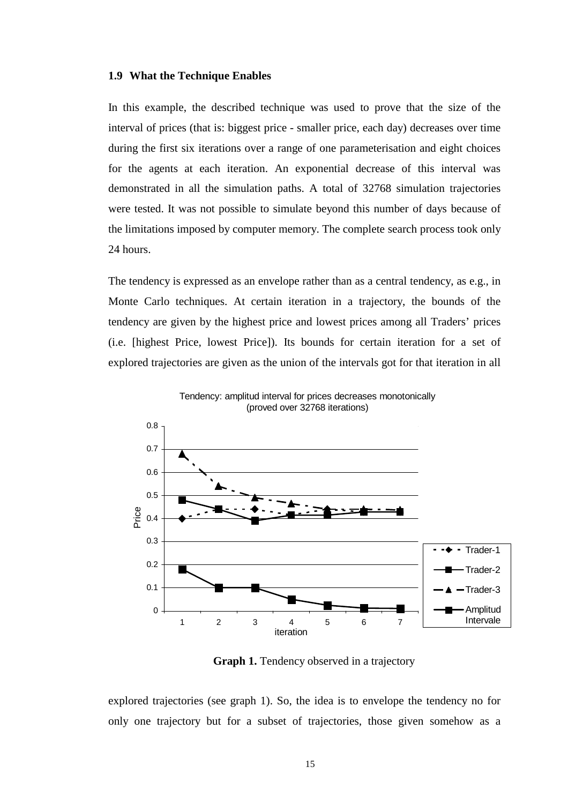#### **1.9 What the Technique Enables**

In this example, the described technique was used to prove that the size of the interval of prices (that is: biggest price - smaller price, each day) decreases over time during the first six iterations over a range of one parameterisation and eight choices for the agents at each iteration. An exponential decrease of this interval was demonstrated in all the simulation paths. A total of 32768 simulation trajectories were tested. It was not possible to simulate beyond this number of days because of the limitations imposed by computer memory. The complete search process took only 24 hours.

The tendency is expressed as an envelope rather than as a central tendency, as e.g., in Monte Carlo techniques. At certain iteration in a trajectory, the bounds of the tendency are given by the highest price and lowest prices among all Traders' prices (i.e. [highest Price, lowest Price]). Its bounds for certain iteration for a set of explored trajectories are given as the union of the intervals got for that iteration in all



Tendency: amplitud interval for prices decreases monotonically (proved over 32768 iterations)

 **Graph 1.** Tendency observed in a trajectory

explored trajectories (see graph 1). So, the idea is to envelope the tendency no for only one trajectory but for a subset of trajectories, those given somehow as a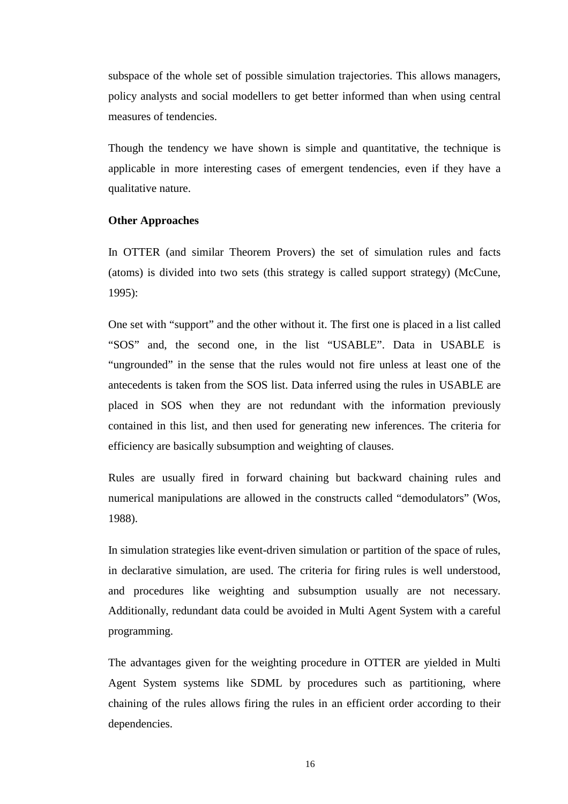subspace of the whole set of possible simulation trajectories. This allows managers, policy analysts and social modellers to get better informed than when using central measures of tendencies.

Though the tendency we have shown is simple and quantitative, the technique is applicable in more interesting cases of emergent tendencies, even if they have a qualitative nature.

## **Other Approaches**

In OTTER (and similar Theorem Provers) the set of simulation rules and facts (atoms) is divided into two sets (this strategy is called support strategy) (McCune, 1995):

One set with "support" and the other without it. The first one is placed in a list called "SOS" and, the second one, in the list "USABLE". Data in USABLE is "ungrounded" in the sense that the rules would not fire unless at least one of the antecedents is taken from the SOS list. Data inferred using the rules in USABLE are placed in SOS when they are not redundant with the information previously contained in this list, and then used for generating new inferences. The criteria for efficiency are basically subsumption and weighting of clauses.

Rules are usually fired in forward chaining but backward chaining rules and numerical manipulations are allowed in the constructs called "demodulators" (Wos, 1988).

In simulation strategies like event-driven simulation or partition of the space of rules, in declarative simulation, are used. The criteria for firing rules is well understood, and procedures like weighting and subsumption usually are not necessary. Additionally, redundant data could be avoided in Multi Agent System with a careful programming.

The advantages given for the weighting procedure in OTTER are yielded in Multi Agent System systems like SDML by procedures such as partitioning, where chaining of the rules allows firing the rules in an efficient order according to their dependencies.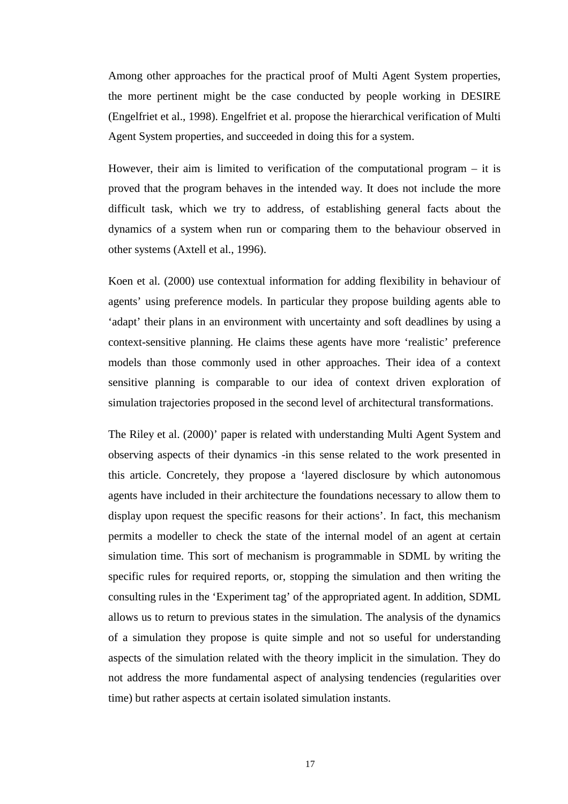Among other approaches for the practical proof of Multi Agent System properties, the more pertinent might be the case conducted by people working in DESIRE (Engelfriet et al., 1998). Engelfriet et al. propose the hierarchical verification of Multi Agent System properties, and succeeded in doing this for a system.

However, their aim is limited to verification of the computational program  $-$  it is proved that the program behaves in the intended way. It does not include the more difficult task, which we try to address, of establishing general facts about the dynamics of a system when run or comparing them to the behaviour observed in other systems (Axtell et al., 1996).

Koen et al. (2000) use contextual information for adding flexibility in behaviour of agents' using preference models. In particular they propose building agents able to 'adapt' their plans in an environment with uncertainty and soft deadlines by using a context-sensitive planning. He claims these agents have more 'realistic' preference models than those commonly used in other approaches. Their idea of a context sensitive planning is comparable to our idea of context driven exploration of simulation trajectories proposed in the second level of architectural transformations.

The Riley et al. (2000)' paper is related with understanding Multi Agent System and observing aspects of their dynamics -in this sense related to the work presented in this article. Concretely, they propose a 'layered disclosure by which autonomous agents have included in their architecture the foundations necessary to allow them to display upon request the specific reasons for their actions'. In fact, this mechanism permits a modeller to check the state of the internal model of an agent at certain simulation time. This sort of mechanism is programmable in SDML by writing the specific rules for required reports, or, stopping the simulation and then writing the consulting rules in the 'Experiment tag' of the appropriated agent. In addition, SDML allows us to return to previous states in the simulation. The analysis of the dynamics of a simulation they propose is quite simple and not so useful for understanding aspects of the simulation related with the theory implicit in the simulation. They do not address the more fundamental aspect of analysing tendencies (regularities over time) but rather aspects at certain isolated simulation instants.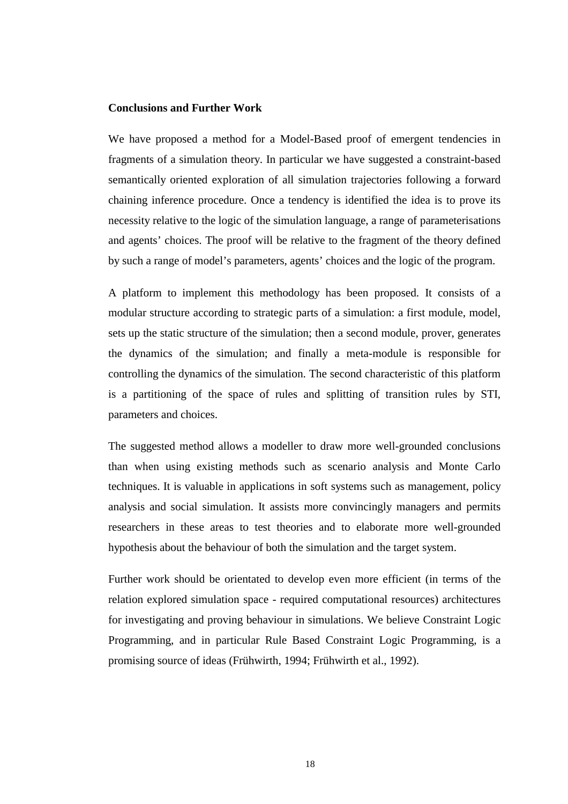## **Conclusions and Further Work**

We have proposed a method for a Model-Based proof of emergent tendencies in fragments of a simulation theory. In particular we have suggested a constraint-based semantically oriented exploration of all simulation trajectories following a forward chaining inference procedure. Once a tendency is identified the idea is to prove its necessity relative to the logic of the simulation language, a range of parameterisations and agents' choices. The proof will be relative to the fragment of the theory defined by such a range of model's parameters, agents' choices and the logic of the program.

A platform to implement this methodology has been proposed. It consists of a modular structure according to strategic parts of a simulation: a first module, model, sets up the static structure of the simulation; then a second module, prover, generates the dynamics of the simulation; and finally a meta-module is responsible for controlling the dynamics of the simulation. The second characteristic of this platform is a partitioning of the space of rules and splitting of transition rules by STI, parameters and choices.

The suggested method allows a modeller to draw more well-grounded conclusions than when using existing methods such as scenario analysis and Monte Carlo techniques. It is valuable in applications in soft systems such as management, policy analysis and social simulation. It assists more convincingly managers and permits researchers in these areas to test theories and to elaborate more well-grounded hypothesis about the behaviour of both the simulation and the target system.

Further work should be orientated to develop even more efficient (in terms of the relation explored simulation space - required computational resources) architectures for investigating and proving behaviour in simulations. We believe Constraint Logic Programming, and in particular Rule Based Constraint Logic Programming, is a promising source of ideas (Frühwirth, 1994; Frühwirth et al., 1992).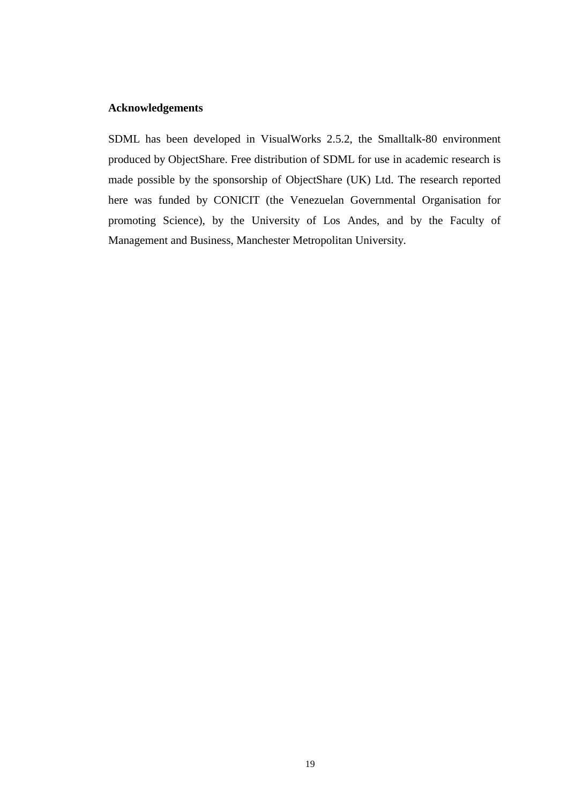## **Acknowledgements**

SDML has been developed in VisualWorks 2.5.2, the Smalltalk-80 environment produced by ObjectShare. Free distribution of SDML for use in academic research is made possible by the sponsorship of ObjectShare (UK) Ltd. The research reported here was funded by CONICIT (the Venezuelan Governmental Organisation for promoting Science), by the University of Los Andes, and by the Faculty of Management and Business, Manchester Metropolitan University.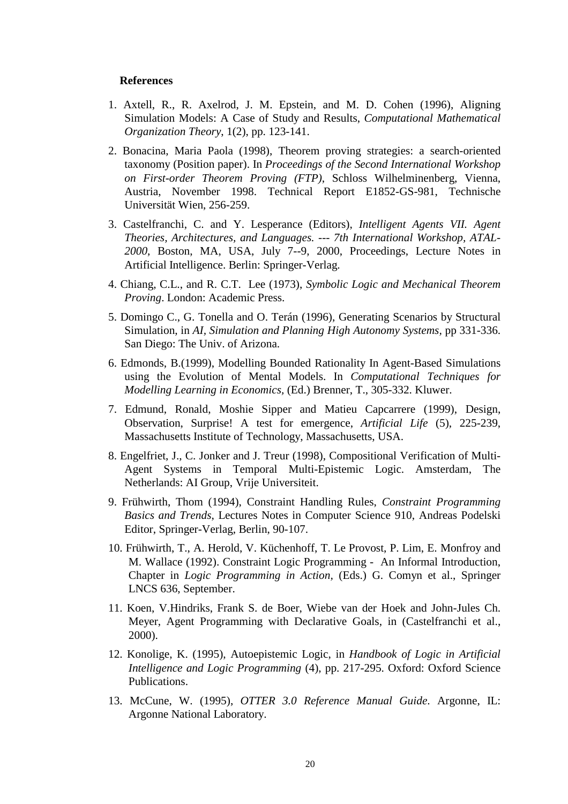## **References**

- 1. Axtell, R., R. Axelrod, J. M. Epstein, and M. D. Cohen (1996), Aligning Simulation Models: A Case of Study and Results, *Computational Mathematical Organization Theory*, 1(2), pp. 123-141.
- 2. Bonacina, Maria Paola (1998), Theorem proving strategies: a search-oriented taxonomy (Position paper). In *Proceedings of the Second International Workshop on First-order Theorem Proving (FTP)*, Schloss Wilhelminenberg, Vienna, Austria, November 1998. Technical Report E1852-GS-981, Technische Universität Wien, 256-259.
- 3. Castelfranchi, C. and Y. Lesperance (Editors), *Intelligent Agents VII. Agent Theories, Architectures, and Languages. --- 7th International Workshop, ATAL-2000*, Boston, MA, USA, July 7--9, 2000, Proceedings, Lecture Notes in Artificial Intelligence. Berlin: Springer-Verlag.
- 4. Chiang, C.L., and R. C.T. Lee (1973), *Symbolic Logic and Mechanical Theorem Proving*. London: Academic Press.
- 5. Domingo C., G. Tonella and O. Terán (1996), Generating Scenarios by Structural Simulation, in *AI, Simulation and Planning High Autonomy Systems,* pp 331-336. San Diego: The Univ. of Arizona.
- 6. Edmonds, B.(1999), Modelling Bounded Rationality In Agent-Based Simulations using the Evolution of Mental Models. In *Computational Techniques for Modelling Learning in Economics,* (Ed.) Brenner, T., 305-332. Kluwer.
- 7. Edmund, Ronald, Moshie Sipper and Matieu Capcarrere (1999), Design, Observation, Surprise! A test for emergence, *Artificial Life* (5), 225-239, Massachusetts Institute of Technology, Massachusetts, USA.
- 8. Engelfriet, J., C. Jonker and J. Treur (1998), Compositional Verification of Multi-Agent Systems in Temporal Multi-Epistemic Logic. Amsterdam, The Netherlands: AI Group, Vrije Universiteit.
- 9. Frühwirth, Thom (1994), Constraint Handling Rules, *Constraint Programming Basics and Trends*, Lectures Notes in Computer Science 910, Andreas Podelski Editor, Springer-Verlag, Berlin, 90-107.
- 10. Frühwirth, T., A. Herold, V. Küchenhoff, T. Le Provost, P. Lim, E. Monfroy and M. Wallace (1992). Constraint Logic Programming - An Informal Introduction, Chapter in *Logic Programming in Action,* (Eds.) G. Comyn et al., Springer LNCS 636, September.
- 11. Koen, V.Hindriks, Frank S. de Boer, Wiebe van der Hoek and John-Jules Ch. Meyer, Agent Programming with Declarative Goals, in (Castelfranchi et al., 2000).
- 12. Konolige, K. (1995), Autoepistemic Logic, in *Handbook of Logic in Artificial Intelligence and Logic Programming* (4), pp. 217-295. Oxford: Oxford Science Publications.
- 13. McCune, W. (1995), *OTTER 3.0 Reference Manual Guide*. Argonne, IL: Argonne National Laboratory.